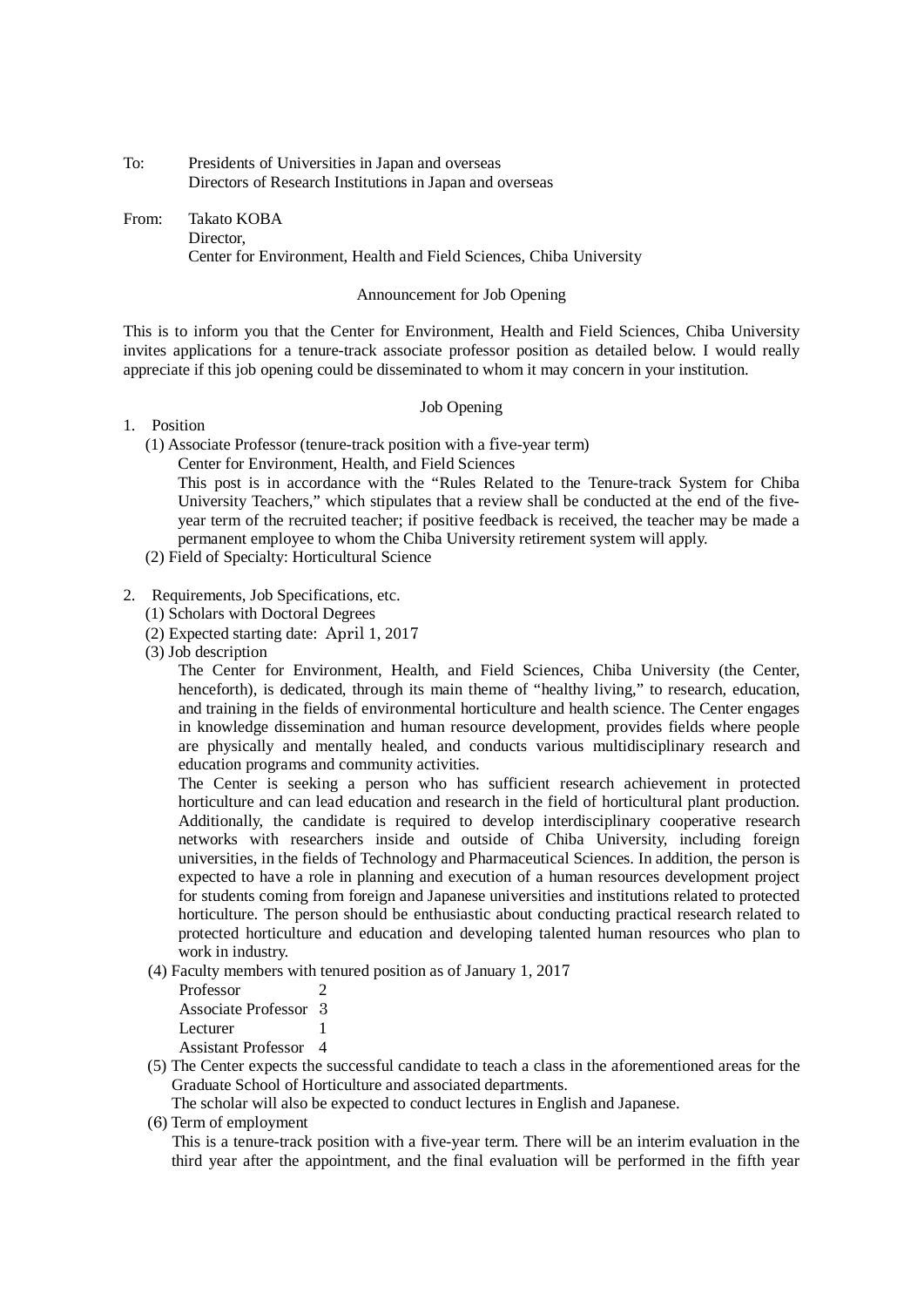To: Presidents of Universities in Japan and overseas Directors of Research Institutions in Japan and overseas

From: Takato KOBA Director, Center for Environment, Health and Field Sciences, Chiba University

#### Announcement for Job Opening

This is to inform you that the Center for Environment, Health and Field Sciences, Chiba University invites applications for a tenure-track associate professor position as detailed below. I would really appreciate if this job opening could be disseminated to whom it may concern in your institution.

# Job Opening

# 1. Position

- (1) Associate Professor (tenure-track position with a five-year term)
	- Center for Environment, Health, and Field Sciences

This post is in accordance with the "Rules Related to the Tenure-track System for Chiba University Teachers," which stipulates that a review shall be conducted at the end of the fiveyear term of the recruited teacher; if positive feedback is received, the teacher may be made a permanent employee to whom the Chiba University retirement system will apply.

(2) Field of Specialty: Horticultural Science

### 2. Requirements, Job Specifications, etc.

- (1) Scholars with Doctoral Degrees
- (2) Expected starting date: April 1, 2017
- (3) Job description

The Center for Environment, Health, and Field Sciences, Chiba University (the Center, henceforth), is dedicated, through its main theme of "healthy living," to research, education, and training in the fields of environmental horticulture and health science. The Center engages in knowledge dissemination and human resource development, provides fields where people are physically and mentally healed, and conducts various multidisciplinary research and education programs and community activities.

The Center is seeking a person who has sufficient research achievement in protected horticulture and can lead education and research in the field of horticultural plant production. Additionally, the candidate is required to develop interdisciplinary cooperative research networks with researchers inside and outside of Chiba University, including foreign universities, in the fields of Technology and Pharmaceutical Sciences. In addition, the person is expected to have a role in planning and execution of a human resources development project for students coming from foreign and Japanese universities and institutions related to protected horticulture. The person should be enthusiastic about conducting practical research related to protected horticulture and education and developing talented human resources who plan to work in industry.

(4) Faculty members with tenured position as of January 1, 2017

| Professor             |   |
|-----------------------|---|
| Associate Professor 3 |   |
| Lecturer              |   |
| Assistant Professor   | 4 |

(5) The Center expects the successful candidate to teach a class in the aforementioned areas for the Graduate School of Horticulture and associated departments.

The scholar will also be expected to conduct lectures in English and Japanese.

(6) Term of employment

 This is a tenure-track position with a five-year term. There will be an interim evaluation in the third year after the appointment, and the final evaluation will be performed in the fifth year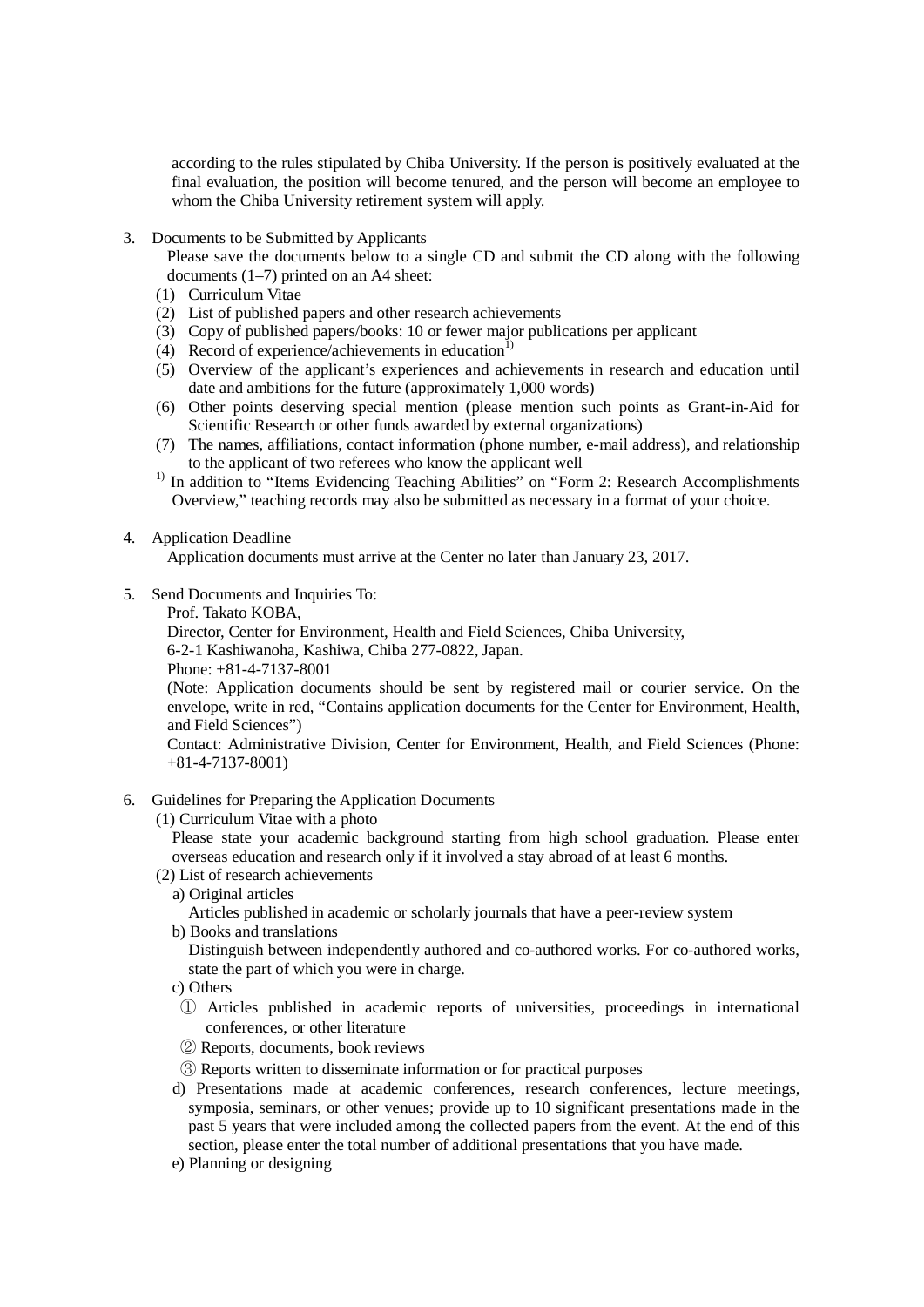according to the rules stipulated by Chiba University. If the person is positively evaluated at the final evaluation, the position will become tenured, and the person will become an employee to whom the Chiba University retirement system will apply.

3. Documents to be Submitted by Applicants

Please save the documents below to a single CD and submit the CD along with the following documents (1–7) printed on an A4 sheet:

- (1) Curriculum Vitae
- (2) List of published papers and other research achievements
- (3) Copy of published papers/books: 10 or fewer major publications per applicant
- (4) Record of experience/achievements in education<sup>1</sup>
- (5) Overview of the applicant's experiences and achievements in research and education until date and ambitions for the future (approximately 1,000 words)
- (6) Other points deserving special mention (please mention such points as Grant-in-Aid for Scientific Research or other funds awarded by external organizations)
- (7) The names, affiliations, contact information (phone number, e-mail address), and relationship to the applicant of two referees who know the applicant well
- <sup>1)</sup> In addition to "Items Evidencing Teaching Abilities" on "Form 2: Research Accomplishments Overview," teaching records may also be submitted as necessary in a format of your choice.

# 4. Application Deadline

Application documents must arrive at the Center no later than January 23, 2017.

- 5. Send Documents and Inquiries To:
	- Prof. Takato KOBA,

Director, Center for Environment, Health and Field Sciences, Chiba University,

6-2-1 Kashiwanoha, Kashiwa, Chiba 277-0822, Japan.

Phone: +81-4-7137-8001

(Note: Application documents should be sent by registered mail or courier service. On the envelope, write in red, "Contains application documents for the Center for Environment, Health, and Field Sciences")

Contact: Administrative Division, Center for Environment, Health, and Field Sciences (Phone: +81-4-7137-8001)

- 6. Guidelines for Preparing the Application Documents
	- (1) Curriculum Vitae with a photo

Please state your academic background starting from high school graduation. Please enter overseas education and research only if it involved a stay abroad of at least 6 months.

- (2) List of research achievements
	- a) Original articles

Articles published in academic or scholarly journals that have a peer-review system

b) Books and translations

Distinguish between independently authored and co-authored works. For co-authored works, state the part of which you were in charge.

- c) Others
- ① Articles published in academic reports of universities, proceedings in international conferences, or other literature
- ② Reports, documents, book reviews
- ③ Reports written to disseminate information or for practical purposes
- d) Presentations made at academic conferences, research conferences, lecture meetings, symposia, seminars, or other venues; provide up to 10 significant presentations made in the past 5 years that were included among the collected papers from the event. At the end of this section, please enter the total number of additional presentations that you have made.
- e) Planning or designing